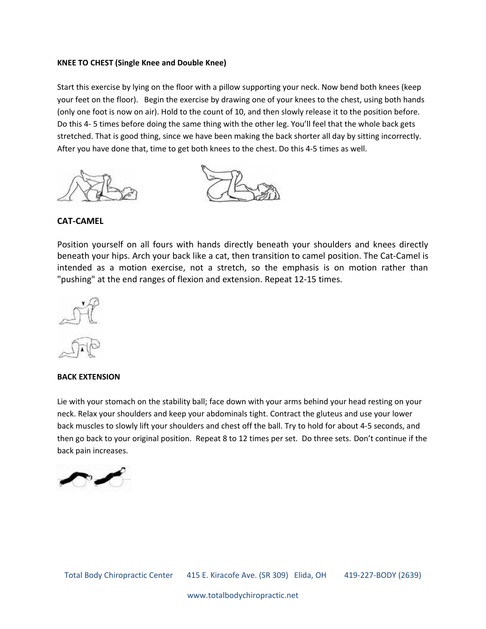## **KNEE TO CHEST (Single Knee and Double Knee)**

Start this exercise by lying on the floor with a pillow supporting your neck. Now bend both knees (keep your feet on the floor). Begin the exercise by drawing one of your knees to the chest, using both hands (only one foot is now on air). Hold to the count of 10, and then slowly release it to the position before. Do this 4- 5 times before doing the same thing with the other leg. You'll feel that the whole back gets stretched. That is good thing, since we have been making the back shorter all day by sitting incorrectly. After you have done that, time to get both knees to the chest. Do this 4-5 times as well.





## **CAT-CAMEL**

Position yourself on all fours with hands directly beneath your shoulders and knees directly beneath your hips. Arch your back like a cat, then transition to camel position. The Cat-Camel is intended as a motion exercise, not a stretch, so the emphasis is on motion rather than "pushing" at the end ranges of flexion and extension. Repeat 12-15 times.



#### **BACK EXTENSION**

Lie with your stomach on the stability ball; face down with your arms behind your head resting on your neck. Relax your shoulders and keep your abdominals tight. Contract the gluteus and use your lower back muscles to slowly lift your shoulders and chest off the ball. Try to hold for about 4-5 seconds, and then go back to your original position. Repeat 8 to 12 times per set. Do three sets. Don't continue if the back pain increases.

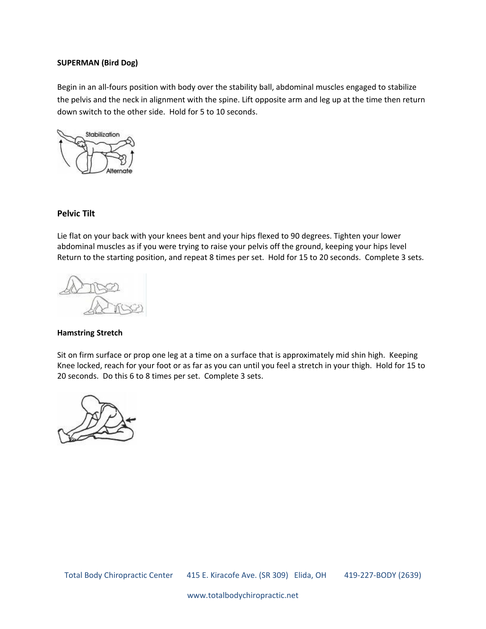## **SUPERMAN (Bird Dog)**

Begin in an all-fours position with body over the stability ball, abdominal muscles engaged to stabilize the pelvis and the neck in alignment with the spine. Lift opposite arm and leg up at the time then return down switch to the other side. Hold for 5 to 10 seconds.



## **Pelvic Tilt**

Lie flat on your back with your knees bent and your hips flexed to 90 degrees. Tighten your lower abdominal muscles as if you were trying to raise your pelvis off the ground, keeping your hips level Return to the starting position, and repeat 8 times per set. Hold for 15 to 20 seconds. Complete 3 sets.



#### **Hamstring Stretch**

Sit on firm surface or prop one leg at a time on a surface that is approximately mid shin high. Keeping Knee locked, reach for your foot or as far as you can until you feel a stretch in your thigh. Hold for 15 to 20 seconds. Do this 6 to 8 times per set. Complete 3 sets.